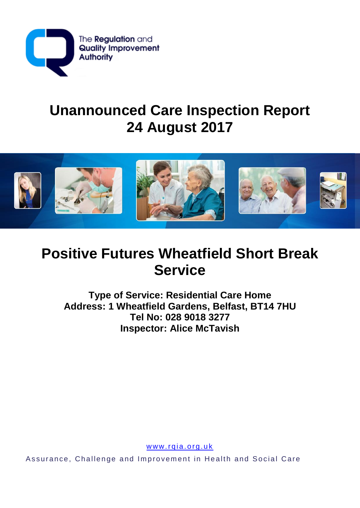

# **Unannounced Care Inspection Report 24 August 2017**



# **Positive Futures Wheatfield Short Break Service**

**Type of Service: Residential Care Home Address: 1 Wheatfield Gardens, Belfast, BT14 7HU Tel No: 028 9018 3277 Inspector: Alice McTavish**

www.rqia.org.uk

Assurance, Challenge and Improvement in Health and Social Care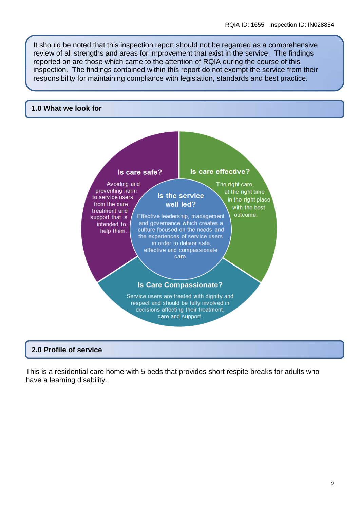It should be noted that this inspection report should not be regarded as a comprehensive review of all strengths and areas for improvement that exist in the service. The findings reported on are those which came to the attention of RQIA during the course of this inspection. The findings contained within this report do not exempt the service from their responsibility for maintaining compliance with legislation, standards and best practice.

#### **1.0 What we look for**



#### **2.0 Profile of service**

This is a residential care home with 5 beds that provides short respite breaks for adults who have a learning disability.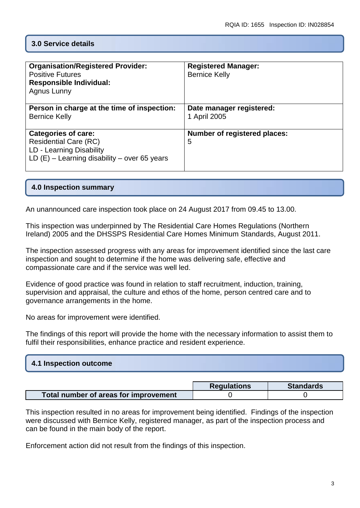## **3.0 Service details**

| <b>Organisation/Registered Provider:</b><br><b>Positive Futures</b><br><b>Responsible Individual:</b><br>Agnus Lunny                     | <b>Registered Manager:</b><br><b>Bernice Kelly</b> |
|------------------------------------------------------------------------------------------------------------------------------------------|----------------------------------------------------|
| Person in charge at the time of inspection:<br><b>Bernice Kelly</b>                                                                      | Date manager registered:<br>1 April 2005           |
| <b>Categories of care:</b><br><b>Residential Care (RC)</b><br>LD - Learning Disability<br>LD $(E)$ – Learning disability – over 65 years | <b>Number of registered places:</b><br>5           |

### **4.0 Inspection summary**

An unannounced care inspection took place on 24 August 2017 from 09.45 to 13.00.

This inspection was underpinned by The Residential Care Homes Regulations (Northern Ireland) 2005 and the DHSSPS Residential Care Homes Minimum Standards, August 2011.

The inspection assessed progress with any areas for improvement identified since the last care inspection and sought to determine if the home was delivering safe, effective and compassionate care and if the service was well led.

Evidence of good practice was found in relation to staff recruitment, induction, training, supervision and appraisal, the culture and ethos of the home, person centred care and to governance arrangements in the home.

No areas for improvement were identified.

The findings of this report will provide the home with the necessary information to assist them to fulfil their responsibilities, enhance practice and resident experience.

| 4.1 Inspection outcome |  |
|------------------------|--|
|                        |  |

|                                       | <b>Requlations</b> | <b>Standards</b> |
|---------------------------------------|--------------------|------------------|
| Total number of areas for improvement |                    |                  |

This inspection resulted in no areas for improvement being identified. Findings of the inspection were discussed with Bernice Kelly, registered manager, as part of the inspection process and can be found in the main body of the report.

Enforcement action did not result from the findings of this inspection.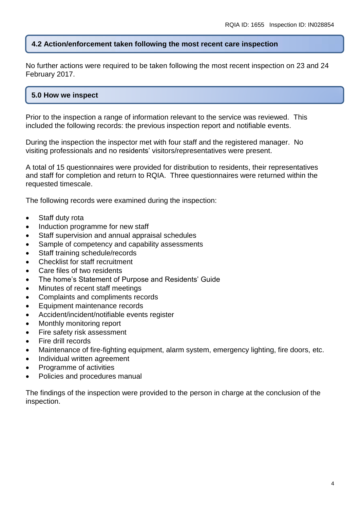## **4.2 Action/enforcement taken following the most recent care inspection**

No further actions were required to be taken following the most recent inspection on 23 and 24 February 2017.

## **5.0 How we inspect**

Prior to the inspection a range of information relevant to the service was reviewed. This included the following records: the previous inspection report and notifiable events.

During the inspection the inspector met with four staff and the registered manager. No visiting professionals and no residents' visitors/representatives were present.

A total of 15 questionnaires were provided for distribution to residents, their representatives and staff for completion and return to RQIA. Three questionnaires were returned within the requested timescale.

The following records were examined during the inspection:

- Staff duty rota
- Induction programme for new staff
- Staff supervision and annual appraisal schedules
- Sample of competency and capability assessments
- Staff training schedule/records
- Checklist for staff recruitment
- Care files of two residents
- The home's Statement of Purpose and Residents' Guide
- Minutes of recent staff meetings
- Complaints and compliments records
- Equipment maintenance records
- Accident/incident/notifiable events register
- Monthly monitoring report
- Fire safety risk assessment
- Fire drill records
- Maintenance of fire-fighting equipment, alarm system, emergency lighting, fire doors, etc.
- Individual written agreement
- Programme of activities
- Policies and procedures manual

The findings of the inspection were provided to the person in charge at the conclusion of the inspection.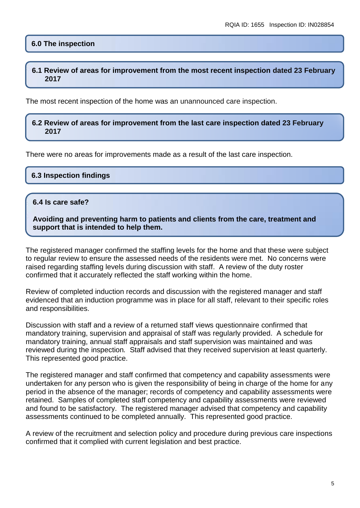## **6.0 The inspection**

#### **6.1 Review of areas for improvement from the most recent inspection dated 23 February 2017**

The most recent inspection of the home was an unannounced care inspection.

#### **6.2 Review of areas for improvement from the last care inspection dated 23 February 2017**

There were no areas for improvements made as a result of the last care inspection.

#### **6.3 Inspection findings**

#### **6.4 Is care safe?**

**Avoiding and preventing harm to patients and clients from the care, treatment and support that is intended to help them.**

The registered manager confirmed the staffing levels for the home and that these were subject to regular review to ensure the assessed needs of the residents were met. No concerns were raised regarding staffing levels during discussion with staff. A review of the duty roster confirmed that it accurately reflected the staff working within the home.

Review of completed induction records and discussion with the registered manager and staff evidenced that an induction programme was in place for all staff, relevant to their specific roles and responsibilities.

Discussion with staff and a review of a returned staff views questionnaire confirmed that mandatory training, supervision and appraisal of staff was regularly provided. A schedule for mandatory training, annual staff appraisals and staff supervision was maintained and was reviewed during the inspection*.* Staff advised that they received supervision at least quarterly. This represented good practice.

The registered manager and staff confirmed that competency and capability assessments were undertaken for any person who is given the responsibility of being in charge of the home for any period in the absence of the manager; records of competency and capability assessments were retained. Samples of completed staff competency and capability assessments were reviewed and found to be satisfactory. The registered manager advised that competency and capability assessments continued to be completed annually. This represented good practice.

A review of the recruitment and selection policy and procedure during previous care inspections confirmed that it complied with current legislation and best practice.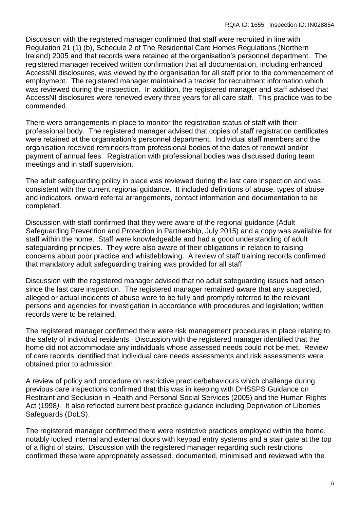Discussion with the registered manager confirmed that staff were recruited in line with Regulation 21 (1) (b), Schedule 2 of The Residential Care Homes Regulations (Northern Ireland) 2005 and that records were retained at the organisation's personnel department. The registered manager received written confirmation that all documentation, including enhanced AccessNI disclosures, was viewed by the organisation for all staff prior to the commencement of employment. The registered manager maintained a tracker for recruitment information which was reviewed during the inspection. In addition, the registered manager and staff advised that AccessNI disclosures were renewed every three years for all care staff. This practice was to be commended.

There were arrangements in place to monitor the registration status of staff with their professional body. The registered manager advised that copies of staff registration certificates were retained at the organisation's personnel department. Individual staff members and the organisation received reminders from professional bodies of the dates of renewal and/or payment of annual fees. Registration with professional bodies was discussed during team meetings and in staff supervision.

The adult safeguarding policy in place was reviewed during the last care inspection and was consistent with the current regional guidance. It included definitions of abuse, types of abuse and indicators, onward referral arrangements, contact information and documentation to be completed.

Discussion with staff confirmed that they were aware of the regional guidance (Adult Safeguarding Prevention and Protection in Partnership, July 2015) and a copy was available for staff within the home. Staff were knowledgeable and had a good understanding of adult safeguarding principles. They were also aware of their obligations in relation to raising concerns about poor practice and whistleblowing. A review of staff training records confirmed that mandatory adult *s*afeguarding training was provided for all staff.

Discussion with the registered manager advised that no adult safeguarding issues had arisen since the last care inspection. The registered manager remained aware that any suspected, alleged or actual incidents of abuse were to be fully and promptly referred to the relevant persons and agencies for investigation in accordance with procedures and legislation; written records were to be retained.

The registered manager confirmed there were risk management procedures in place relating to the safety of individual residents. Discussion with the registered manager identified that the home did not accommodate any individuals whose assessed needs could not be met. Review of care records identified that individual care needs assessments and risk assessments were obtained prior to admission.

A review of policy and procedure on restrictive practice/behaviours which challenge during previous care inspections confirmed that this was in keeping with DHSSPS Guidance on Restraint and Seclusion in Health and Personal Social Services (2005) and the Human Rights Act (1998*).* It also reflected current best practice guidance including Deprivation of Liberties Safeguards (DoLS).

The registered manager confirmed there were restrictive practices employed within the home, notably locked internal and external doors with keypad entry systems and a stair gate at the top of a flight of stairs*.* Discussion with the registered manager regarding such restrictions confirmed these were appropriately assessed, documented, minimised and reviewed with the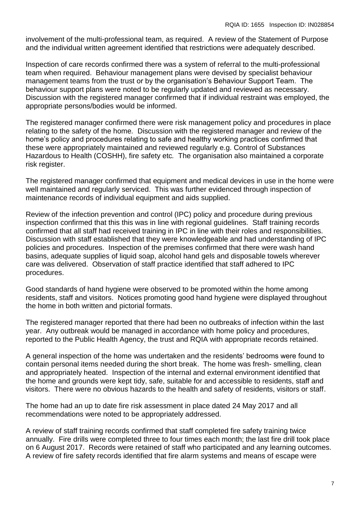involvement of the multi-professional team, as required. A review of the Statement of Purpose and the individual written agreement identified that restrictions were adequately described.

Inspection of care records confirmed there was a system of referral to the multi-professional team when required. Behaviour management plans were devised by specialist behaviour management teams from the trust or by the organisation's Behaviour Support Team. The behaviour support plans were noted to be regularly updated and reviewed as necessary. Discussion with the registered manager confirmed that if individual restraint was employed, the appropriate persons/bodies would be informed.

The registered manager confirmed there were risk management policy and procedures in place relating to the safety of the home*.* Discussion with the registered manager and review of the home's policy and procedures relating to safe and healthy working practices confirmed that these were appropriately maintained and reviewed regularly e.g. Control of Substances Hazardous to Health (COSHH), fire safety etc*.* The organisation also maintained a corporate risk register.

The registered manager confirmed that equipment and medical devices in use in the home were well maintained and regularly serviced. This was further evidenced through inspection of maintenance records of individual equipment and aids supplied.

Review of the infection prevention and control (IPC) policy and procedure during previous inspection confirmed that this this was in line with regional guidelines. Staff training records confirmed that all staff had received training in IPC in line with their roles and responsibilities. Discussion with staff established that they were knowledgeable and had understanding of IPC policies and procedures. Inspection of the premises confirmed that there were wash hand basins, adequate supplies of liquid soap, alcohol hand gels and disposable towels wherever care was delivered. Observation of staff practice identified that staff adhered to IPC procedures.

Good standards of hand hygiene were observed to be promoted within the home among residents, staff and visitors. Notices promoting good hand hygiene were displayed throughout the home in both written and pictorial formats.

The registered manager reported that there had been no outbreaks of infection within the last year. Any outbreak would be managed in accordance with home policy and procedures, reported to the Public Health Agency, the trust and RQIA with appropriate records retained.

A general inspection of the home was undertaken and the residents' bedrooms were found to contain personal items needed during the short break. The home was fresh- smelling, clean and appropriately heated. Inspection of the internal and external environment identified that the home and grounds were kept tidy, safe, suitable for and accessible to residents, staff and visitors. There were no obvious hazards to the health and safety of residents, visitors or staff.

The home had an up to date fire risk assessment in place dated 24 May 2017 and all recommendations were noted to be appropriately addressed.

A review of staff training records confirmed that staff completed fire safety training twice annually. Fire drills were completed three to four times each month; the last fire drill took place on 6 August 2017. Records were retained of staff who participated and any learning outcomes. A review of fire safety records identified that fire alarm systems and means of escape were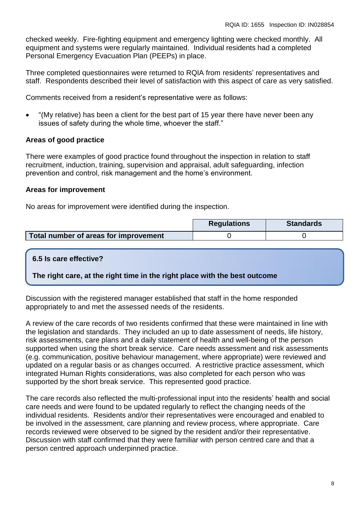checked weekly. Fire-fighting equipment and emergency lighting were checked monthly. All equipment and systems were regularly maintained. Individual residents had a completed Personal Emergency Evacuation Plan (PEEPs) in place.

Three completed questionnaires were returned to RQIA from residents' representatives and staff. Respondents described their level of satisfaction with this aspect of care as very satisfied.

Comments received from a resident's representative were as follows:

 "(My relative) has been a client for the best part of 15 year there have never been any issues of safety during the whole time, whoever the staff."

#### **Areas of good practice**

There were examples of good practice found throughout the inspection in relation to staff recruitment, induction, training, supervision and appraisal, adult safeguarding, infection prevention and control, risk management and the home's environment.

#### **Areas for improvement**

No areas for improvement were identified during the inspection.

|                                       | <b>Regulations</b> | <b>Standards</b> |
|---------------------------------------|--------------------|------------------|
| Total number of areas for improvement |                    |                  |

## **6.5 Is care effective?**

**The right care, at the right time in the right place with the best outcome**

Discussion with the registered manager established that staff in the home responded appropriately to and met the assessed needs of the residents.

A review of the care records of two residents confirmed that these were maintained in line with the legislation and standards. They included an up to date assessment of needs, life history, risk assessments, care plans and a daily statement of health and well-being of the person supported when using the short break service. Care needs assessment and risk assessments (e.g. communication, positive behaviour management, where appropriate) were reviewed and updated on a regular basis or as changes occurred. A restrictive practice assessment, which integrated Human Rights considerations, was also completed for each person who was supported by the short break service. This represented good practice.

The care records also reflected the multi-professional input into the residents' health and social care needs and were found to be updated regularly to reflect the changing needs of the individual residents. Residents and/or their representatives were encouraged and enabled to be involved in the assessment, care planning and review process, where appropriate. Care records reviewed were observed to be signed by the resident and/or their representative. Discussion with staff confirmed that they were familiar with person centred care and that a person centred approach underpinned practice.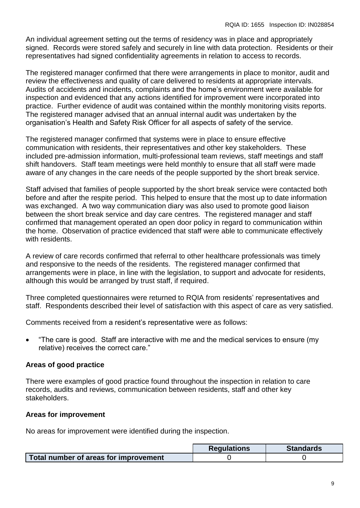An individual agreement setting out the terms of residency was in place and appropriately signed. Records were stored safely and securely in line with data protection. Residents or their representatives had signed confidentiality agreements in relation to access to records.

The registered manager confirmed that there were arrangements in place to monitor, audit and review the effectiveness and quality of care delivered to residents at appropriate intervals. Audits of accidents and incidents, complaints and the home's environment were available for inspection and evidenced that any actions identified for improvement were incorporated into practice. Further evidence of audit was contained within the monthly monitoring visits reports. The registered manager advised that an annual internal audit was undertaken by the organisation's Health and Safety Risk Officer for all aspects of safety of the service.

The registered manager confirmed that systems were in place to ensure effective communication with residents, their representatives and other key stakeholders. These included pre-admission information, multi-professional team reviews, staff meetings and staff shift handovers. Staff team meetings were held monthly to ensure that all staff were made aware of any changes in the care needs of the people supported by the short break service.

Staff advised that families of people supported by the short break service were contacted both before and after the respite period. This helped to ensure that the most up to date information was exchanged. A two way communication diary was also used to promote good liaison between the short break service and day care centres. The registered manager and staff confirmed that management operated an open door policy in regard to communication within the home. Observation of practice evidenced that staff were able to communicate effectively with residents.

A review of care records confirmed that referral to other healthcare professionals was timely and responsive to the needs of the residents. The registered manager confirmed that arrangements were in place, in line with the legislation, to support and advocate for residents, although this would be arranged by trust staff, if required.

Three completed questionnaires were returned to RQIA from residents' representatives and staff. Respondents described their level of satisfaction with this aspect of care as very satisfied.

Comments received from a resident's representative were as follows:

 "The care is good. Staff are interactive with me and the medical services to ensure (my relative) receives the correct care."

## **Areas of good practice**

There were examples of good practice found throughout the inspection in relation to care records, audits and reviews, communication between residents, staff and other key stakeholders.

## **Areas for improvement**

No areas for improvement were identified during the inspection.

|                                       | <b>Regulations</b> | <b>Standards</b> |
|---------------------------------------|--------------------|------------------|
| Total number of areas for improvement |                    |                  |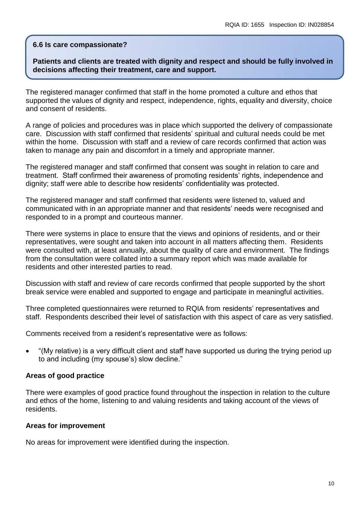#### **6.6 Is care compassionate?**

#### **Patients and clients are treated with dignity and respect and should be fully involved in decisions affecting their treatment, care and support.**

The registered manager confirmed that staff in the home promoted a culture and ethos that supported the values of dignity and respect, independence, rights, equality and diversity, choice and consent of residents.

A range of policies and procedures was in place which supported the delivery of compassionate care. Discussion with staff confirmed that residents' spiritual and cultural needs could be met within the home. Discussion with staff and a review of care records confirmed that action was taken to manage any pain and discomfort in a timely and appropriate manner.

The registered manager and staff confirmed that consent was sought in relation to care and treatment. Staff confirmed their awareness of promoting residents' rights, independence and dignity; staff were able to describe how residents' confidentiality was protected.

The registered manager and staff confirmed that residents were listened to, valued and communicated with in an appropriate manner and that residents' needs were recognised and responded to in a prompt and courteous manner.

There were systems in place to ensure that the views and opinions of residents, and or their representatives, were sought and taken into account in all matters affecting them. Residents were consulted with, at least annually, about the quality of care and environment. The findings from the consultation were collated into a summary report which was made available for residents and other interested parties to read.

Discussion with staff and review of care records confirmed that people supported by the short break service were enabled and supported to engage and participate in meaningful activities.

Three completed questionnaires were returned to RQIA from residents' representatives and staff. Respondents described their level of satisfaction with this aspect of care as very satisfied.

Comments received from a resident's representative were as follows:

 "(My relative) is a very difficult client and staff have supported us during the trying period up to and including (my spouse's) slow decline."

#### **Areas of good practice**

There were examples of good practice found throughout the inspection in relation to the culture and ethos of the home, listening to and valuing residents and taking account of the views of residents.

#### **Areas for improvement**

No areas for improvement were identified during the inspection.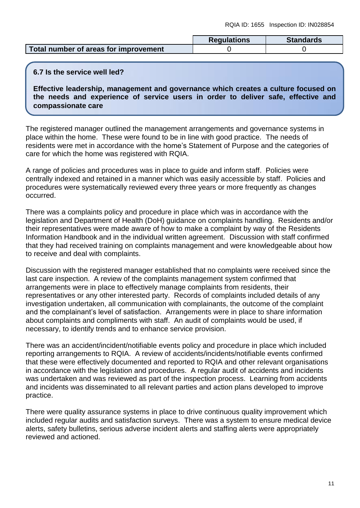|                                       | <b>Requlations</b> | <b>Standards</b> |
|---------------------------------------|--------------------|------------------|
| Total number of areas for improvement |                    |                  |

#### **6.7 Is the service well led?**

**Effective leadership, management and governance which creates a culture focused on the needs and experience of service users in order to deliver safe, effective and compassionate care**

The registered manager outlined the management arrangements and governance systems in place within the home. These were found to be in line with good practice. The needs of residents were met in accordance with the home's Statement of Purpose and the categories of care for which the home was registered with RQIA.

A range of policies and procedures was in place to guide and inform staff. Policies were centrally indexed and retained in a manner which was easily accessible by staff. Policies and procedures were systematically reviewed every three years or more frequently as changes occurred.

There was a complaints policy and procedure in place which was in accordance with the legislation and Department of Health (DoH) guidance on complaints handling. Residents and/or their representatives were made aware of how to make a complaint by way of the Residents Information Handbook and in the individual written agreement. Discussion with staff confirmed that they had received training on complaints management and were knowledgeable about how to receive and deal with complaints.

Discussion with the registered manager established that no complaints were received since the last care inspection. A review of the complaints management system confirmed that arrangements were in place to effectively manage complaints from residents, their representatives or any other interested party. Records of complaints included details of any investigation undertaken, all communication with complainants, the outcome of the complaint and the complainant's level of satisfaction. Arrangements were in place to share information about complaints and compliments with staff. An audit of complaints would be used, if necessary, to identify trends and to enhance service provision.

There was an accident/incident/notifiable events policy and procedure in place which included reporting arrangements to RQIA. A review of accidents/incidents/notifiable events confirmed that these were effectively documented and reported to RQIA and other relevant organisations in accordance with the legislation and procedures. A regular audit of accidents and incidents was undertaken and was reviewed as part of the inspection process. Learning from accidents and incidents was disseminated to all relevant parties and action plans developed to improve practice.

There were quality assurance systems in place to drive continuous quality improvement which included regular audits and satisfaction surveys. There was a system to ensure medical device alerts, safety bulletins, serious adverse incident alerts and staffing alerts were appropriately reviewed and actioned.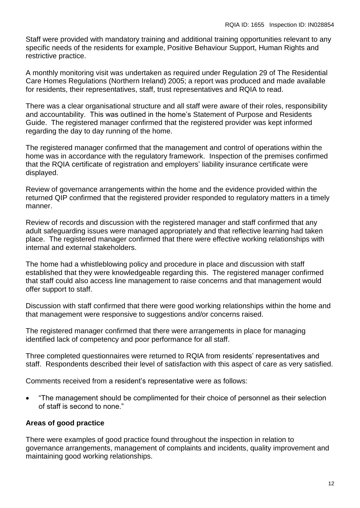Staff were provided with mandatory training and additional training opportunities relevant to any specific needs of the residents for example, Positive Behaviour Support, Human Rights and restrictive practice.

A monthly monitoring visit was undertaken as required under Regulation 29 of The Residential Care Homes Regulations (Northern Ireland) 2005; a report was produced and made available for residents, their representatives, staff, trust representatives and RQIA to read.

There was a clear organisational structure and all staff were aware of their roles, responsibility and accountability. This was outlined in the home's Statement of Purpose and Residents Guide. The registered manager confirmed that the registered provider was kept informed regarding the day to day running of the home.

The registered manager confirmed that the management and control of operations within the home was in accordance with the regulatory framework. Inspection of the premises confirmed that the RQIA certificate of registration and employers' liability insurance certificate were displayed.

Review of governance arrangements within the home and the evidence provided within the returned QIP confirmed that the registered provider responded to regulatory matters in a timely manner.

Review of records and discussion with the registered manager and staff confirmed that any adult safeguarding issues were managed appropriately and that reflective learning had taken place. The registered manager confirmed that there were effective working relationships with internal and external stakeholders.

The home had a whistleblowing policy and procedure in place and discussion with staff established that they were knowledgeable regarding this. The registered manager confirmed that staff could also access line management to raise concerns and that management would offer support to staff.

Discussion with staff confirmed that there were good working relationships within the home and that management were responsive to suggestions and/or concerns raised.

The registered manager confirmed that there were arrangements in place for managing identified lack of competency and poor performance for all staff.

Three completed questionnaires were returned to RQIA from residents' representatives and staff. Respondents described their level of satisfaction with this aspect of care as very satisfied.

Comments received from a resident's representative were as follows:

 "The management should be complimented for their choice of personnel as their selection of staff is second to none."

#### **Areas of good practice**

There were examples of good practice found throughout the inspection in relation to governance arrangements, management of complaints and incidents, quality improvement and maintaining good working relationships.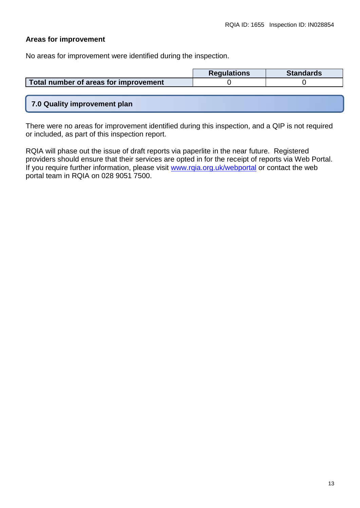## **Areas for improvement**

No areas for improvement were identified during the inspection.

|                                       | <b>Regulations</b> | <b>Standards</b> |
|---------------------------------------|--------------------|------------------|
| Total number of areas for improvement |                    |                  |
|                                       |                    |                  |
|                                       |                    |                  |

## **7.0 Quality improvement plan**

There were no areas for improvement identified during this inspection, and a QIP is not required or included, as part of this inspection report.

RQIA will phase out the issue of draft reports via paperlite in the near future. Registered providers should ensure that their services are opted in for the receipt of reports via Web Portal. If you require further information, please visit [www.rqia.org.uk/webportal](http://www.rqia.org.uk/webportal) or contact the web portal team in RQIA on 028 9051 7500.